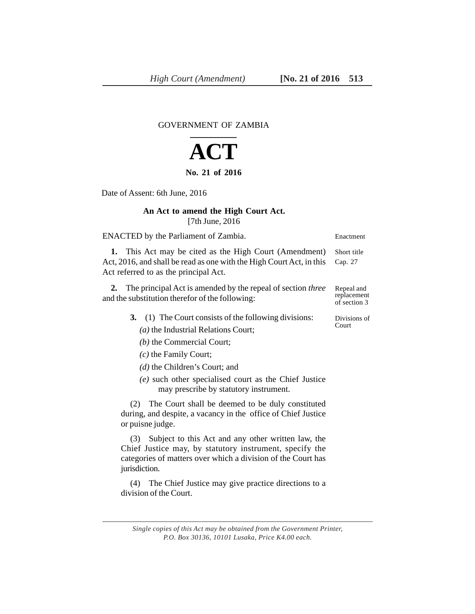GOVERNMENT OF ZAMBIA

## **ACT**

## **No. 21 of 2016**

Date of Assent: 6th June, 2016

## **An Act to amend the High Court Act.** [7th June, 2016

| ENACTED by the Parliament of Zambia.                                                                                                                                                                  | Enactment                                 |
|-------------------------------------------------------------------------------------------------------------------------------------------------------------------------------------------------------|-------------------------------------------|
| 1. This Act may be cited as the High Court (Amendment)<br>Act, 2016, and shall be read as one with the High Court Act, in this<br>Act referred to as the principal Act.                               | Short title<br>Cap. 27                    |
| 2. The principal Act is amended by the repeal of section <i>three</i><br>and the substitution therefor of the following:                                                                              | Repeal and<br>replacement<br>of section 3 |
| 3. (1) The Court consists of the following divisions:<br>$(a)$ the Industrial Relations Court;<br>$(b)$ the Commercial Court;<br>$(c)$ the Family Court;<br>$(d)$ the Children's Court; and           | Divisions of<br>Court                     |
| (e) such other specialised court as the Chief Justice<br>may prescribe by statutory instrument.                                                                                                       |                                           |
| The Court shall be deemed to be duly constituted<br>(2)<br>during, and despite, a vacancy in the office of Chief Justice<br>or puisne judge.                                                          |                                           |
| Subject to this Act and any other written law, the<br>(3)<br>Chief Justice may, by statutory instrument, specify the<br>categories of matters over which a division of the Court has<br>jurisdiction. |                                           |
| The Chief Justice may give practice directions to a<br>(4)<br>division of the Court.                                                                                                                  |                                           |

*Single copies of this Act may be obtained from the Government Printer, P.O. Box 30136, 10101 Lusaka, Price K4.00 each.*